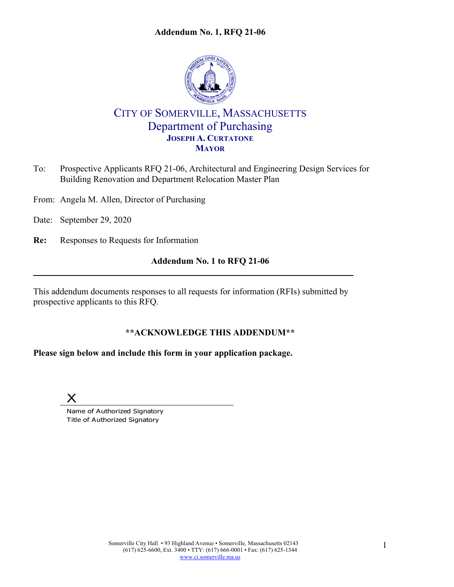#### **Addendum No. 1, RFQ 21-06**



# CITY OF SOMERVILLE, MASSACHUSETTS Department of Purchasing **JOSEPH A. CURTATONE MAYOR**

- To: Prospective Applicants RFQ 21-06, Architectural and Engineering Design Services for Building Renovation and Department Relocation Master Plan
- From: Angela M. Allen, Director of Purchasing
- Date: September 29, 2020
- **Re:** Responses to Requests for Information

#### **Addendum No. 1 to RFQ 21-06**

This addendum documents responses to all requests for information (RFIs) submitted by prospective applicants to this RFQ.

## **\*\*ACKNOWLEDGE THIS ADDENDUM\*\***

## **Please sign below and include this form in your application package.**



Name of Authorized Signatory Title of Authorized Signatory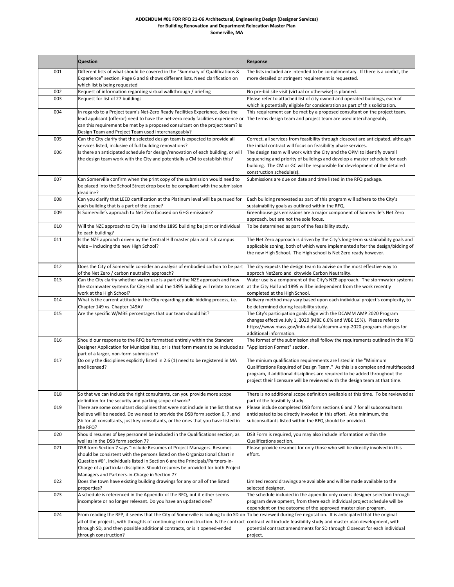#### **ADDENDUM #01 FOR RFQ 21-06 Architectural, Engineering Design (Designer Services) for Building Renovation and Department Relocation Master Plan Somerville, MA**

|     | Question                                                                                                                                                                                                                                                                                                                                                                 | Response                                                                                                                                                                                                                                                                                                        |
|-----|--------------------------------------------------------------------------------------------------------------------------------------------------------------------------------------------------------------------------------------------------------------------------------------------------------------------------------------------------------------------------|-----------------------------------------------------------------------------------------------------------------------------------------------------------------------------------------------------------------------------------------------------------------------------------------------------------------|
| 001 | Different lists of what should be covered in the "Summary of Qualifications &<br>Experience" section. Page 6 and 8 shows different lists. Need clarification on<br>which list is being requested                                                                                                                                                                         | The lists included are intended to be complimentary. If there is a confict, the<br>more detailed or stringent requirement is requested.                                                                                                                                                                         |
| 002 | Request of information regarding virtual walkthrough / briefing                                                                                                                                                                                                                                                                                                          | No pre-bid site visit (virtual or otherwise) is planned.                                                                                                                                                                                                                                                        |
| 003 | Request for list of 27 buildings                                                                                                                                                                                                                                                                                                                                         | Please refer to attached list of city owned and operated buildings, each of<br>which is potentially eligible for consideration as part of this solicitation.                                                                                                                                                    |
| 004 | In regards to a Project team's Net-Zero Ready Facilities Experience, does the<br>lead applicant (offeror) need to have the net-zero ready facilities experience or<br>can this requirement be met by a proposed consultant on the project team? Is<br>Design Team and Project Team used interchangeably?                                                                 | This requirement can be met by a proposed consultant on the project team.<br>The terms design team and project team are used interchangeably.                                                                                                                                                                   |
| 005 | Can the City clarify that the selected design team is expected to provide all<br>services listed, inclusive of full building renovations?                                                                                                                                                                                                                                | Correct, all services from feasibility through closeout are anticipated, although<br>the initial contract will focus on feasibility phase services.                                                                                                                                                             |
| 006 | Is there an anticipated schedule for design/renovation of each building, or will<br>the design team work with the City and potentially a CM to establish this?                                                                                                                                                                                                           | The design team will work with the City and the OPM to identify overall<br>sequencing and priority of buildings and develop a master schedule for each<br>building. The CM or GC will be responsible for development of the detailed<br>construction schedule(s).                                               |
| 007 | Can Somerville confirm when the print copy of the submission would need to<br>be placed into the School Street drop box to be compliant with the submission<br>deadline?                                                                                                                                                                                                 | Submissions are due on date and time listed in the RFQ package.                                                                                                                                                                                                                                                 |
| 008 | Can you clarify that LEED certification at the Platinum level will be pursued for<br>each building that is a part of the scope?                                                                                                                                                                                                                                          | Each building renovated as part of this program will adhere to the City's<br>sustainability goals as outlined within the RFQ.                                                                                                                                                                                   |
| 009 | Is Somerville's approach to Net Zero focused on GHG emissions?                                                                                                                                                                                                                                                                                                           | Greenhouse gas emissions are a major component of Somerville's Net Zero                                                                                                                                                                                                                                         |
| 010 | Will the NZE approach to City Hall and the 1895 building be joint or individual                                                                                                                                                                                                                                                                                          | approach, but are not the sole focus.<br>To be determined as part of the feasibility study.                                                                                                                                                                                                                     |
| 011 | to each building?<br>Is the NZE approach driven by the Central Hill master plan and is it campus<br>wide - including the new High School?                                                                                                                                                                                                                                | The Net Zero approach is driven by the City's long-term sustainability goals and<br>applicable zoning, both of which were implemented after the design/bidding of<br>the new High School. The High school is Net Zero ready however.                                                                            |
| 012 | Does the City of Somerville consider an analysis of embodied carbon to be part<br>of the Net Zero / carbon neutrality approach?                                                                                                                                                                                                                                          | The city expects the design team to advise on the most effective way to<br>approch NetZero and citywide Carbon Neutrality.                                                                                                                                                                                      |
| 013 | Can the City clarify whether water use is a part of the NZE approach and how<br>the stormwater systems for City Hall and the 1895 building will relate to recent<br>work at the High School?                                                                                                                                                                             | Water use is a component of the City's NZE approach. The stormwater systems<br>at the City Hall and 1895 will be independent from the work recently<br>completed at the High School.                                                                                                                            |
| 014 | What is the current attitude in the City regarding public bidding process, i.e.<br>Chapter 149 vs. Chapter 149A?                                                                                                                                                                                                                                                         | Delivery method may vary based upon each individual project's complexity, to<br>be determined during feasibility study.                                                                                                                                                                                         |
| 015 | Are the specific W/MBE percentages that our team should hit?                                                                                                                                                                                                                                                                                                             | The City's participation goals align with the DCAMM AMP 2020 Program<br>changes effective July 1, 2020 (MBE 6.6% and WBE 15%). Please refer to<br>https://www.mass.gov/info-details/dcamm-amp-2020-program-changes for<br>additional information.                                                               |
| 016 | Should our response to the RFQ be formatted entirely within the Standard<br>Designer Application for Municipalities, or is that form meant to be included as<br>part of a larger, non-form submission?                                                                                                                                                                   | The format of the submission shall follow the requirements outlined in the RFQ<br>'Application Format" section.                                                                                                                                                                                                 |
| 017 | Do only the disciplines explicitly listed in 2.6 (1) need to be registered in MA<br>and licensed?                                                                                                                                                                                                                                                                        | The minium qualification requirements are listed in the "Minimum<br>Qualifications Required of Design Team." As this is a complex and multifaceded<br>program, if additional disciplines are required to be added throughout the<br>project their licensure will be reviewed with the design team at that time. |
| 018 | So that we can include the right consultants, can you provide more scope<br>definition for the security and parking scope of work?                                                                                                                                                                                                                                       | There is no additional scope definition available at this time. To be reviewed as<br>part of the feasibility study.                                                                                                                                                                                             |
| 019 | There are some consultant disciplines that were not include in the list that we<br>believe will be needed. Do we need to provide the DSB form section 6, 7, and<br>8b for all consultants, just key consultants, or the ones that you have listed in<br>the RFQ?                                                                                                         | Please include completed DSB form sections 6 and 7 for all subconsultants<br>anticipated to be directly invovled in this effort. At a minimum, the<br>subconsultants listed within the RFQ should be provided.                                                                                                  |
| 020 | Should resumes of key personnel be included in the Qualifications section, as<br>well as in the DSB form section 7?                                                                                                                                                                                                                                                      | DSB Form is required, you may also include information within the<br>Qualifications section.                                                                                                                                                                                                                    |
| 021 | DSB form Section 7 says "Include Resumes of Project Managers. Resumes<br>should be consistent with the persons listed on the Organizational Chart in<br>Question #6". Individuals listed in Section 6 are the Principals/Partners-in-<br>Charge of a particular discipline. Should resumes be provided for both Project<br>Managers and Partners-in-Charge in Section 7? | Please provide resumes for only those who will be directly involved in this<br>effort.                                                                                                                                                                                                                          |
| 022 | Does the town have existing building drawings for any or all of the listed<br>properties?                                                                                                                                                                                                                                                                                | Limited record drawings are available and will be made available to the<br>selected designer.                                                                                                                                                                                                                   |
| 023 | A schedule is referenced in the Appendix of the RFQ, but it either seems<br>incomplete or no longer relevant. Do you have an updated one?                                                                                                                                                                                                                                | The schedule included in the appendix only covers designer selection through<br>program development, from there each individual project schedule will be<br>dependent on the outcome of the approved master plan program.                                                                                       |
| 024 | From reading the RFP, it seems that the City of Somerville is looking to do SD on To be reviewed during fee negotation. It is anticipated that the original<br>all of the projects, with thoughts of continuing into construction. Is the contract<br>through SD, and then possible additional contracts, or is it opened-ended<br>through construction?                 | contract will include feasibility study and master plan development, with<br>potential contract amendments for SD through Closeout for each individual<br>project.                                                                                                                                              |